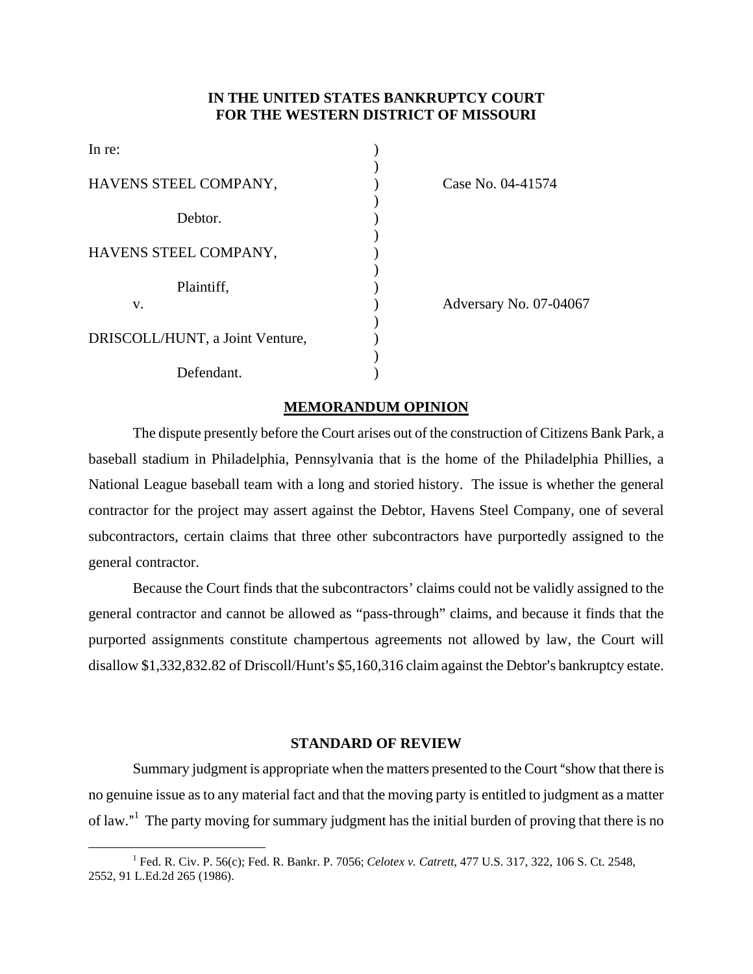# **IN THE UNITED STATES BANKRUPTCY COURT FOR THE WESTERN DISTRICT OF MISSOURI**

| In re:                          |  |
|---------------------------------|--|
| HAVENS STEEL COMPANY,           |  |
| Debtor.                         |  |
| HAVENS STEEL COMPANY,           |  |
| Plaintiff,                      |  |
| V.                              |  |
| DRISCOLL/HUNT, a Joint Venture, |  |
| Defendant.                      |  |

Case No. 04-41574

Adversary No. 07-04067

# **MEMORANDUM OPINION**

The dispute presently before the Court arises out of the construction of Citizens Bank Park, a baseball stadium in Philadelphia, Pennsylvania that is the home of the Philadelphia Phillies, a National League baseball team with a long and storied history. The issue is whether the general contractor for the project may assert against the Debtor, Havens Steel Company, one of several subcontractors, certain claims that three other subcontractors have purportedly assigned to the general contractor.

Because the Court finds that the subcontractors' claims could not be validly assigned to the general contractor and cannot be allowed as "pass-through" claims, and because it finds that the purported assignments constitute champertous agreements not allowed by law, the Court will disallow  $$1,332,832.82$  of Driscoll/Hunt's  $$5,160,316$  claim against the Debtor's bankruptcy estate.

# **STANDARD OF REVIEW**

Summary judgment is appropriate when the matters presented to the Court "show that there is no genuine issue as to any material fact and that the moving party is entitled to judgment as a matter of law."<sup>1</sup> The party moving for summary judgment has the initial burden of proving that there is no

 $\begin{array}{c|c}\n\hline\n\end{array}$  Fed. R. Civ. P. 56(c); Fed. R. Bankr. P. 7056; *Celotex v. Catrett*, 477 U.S. 317, 322, 106 S. Ct. 2548, 2552, 91 L.Ed.2d 265 (1986).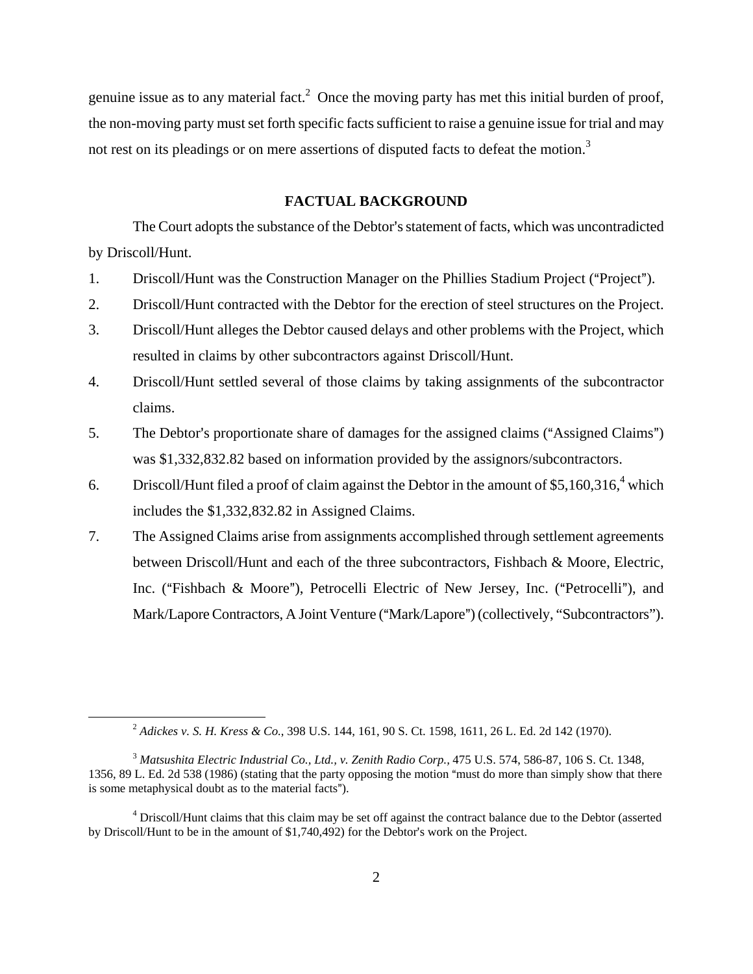genuine issue as to any material fact.<sup>2</sup> Once the moving party has met this initial burden of proof, the non-moving party must set forth specific facts sufficient to raise a genuine issue for trial and may not rest on its pleadings or on mere assertions of disputed facts to defeat the motion.<sup>3</sup>

## **FACTUAL BACKGROUND**

The Court adopts the substance of the Debtor's statement of facts, which was uncontradicted by Driscoll/Hunt.

- 1. Driscoll/Hunt was the Construction Manager on the Phillies Stadium Project ("Project").
- 2. Driscoll/Hunt contracted with the Debtor for the erection of steel structures on the Project.
- 3. Driscoll/Hunt alleges the Debtor caused delays and other problems with the Project, which resulted in claims by other subcontractors against Driscoll/Hunt.
- 4. Driscoll/Hunt settled several of those claims by taking assignments of the subcontractor claims.
- 5. The Debtor's proportionate share of damages for the assigned claims ("Assigned Claims") was \$1,332,832.82 based on information provided by the assignors/subcontractors.
- 6. Driscoll/Hunt filed a proof of claim against the Debtor in the amount of \$5,160,316,<sup>4</sup> which includes the \$1,332,832.82 in Assigned Claims.
- 7. The Assigned Claims arise from assignments accomplished through settlement agreements between Driscoll/Hunt and each of the three subcontractors, Fishbach & Moore, Electric, Inc. ("Fishbach & Moore"), Petrocelli Electric of New Jersey, Inc. ("Petrocelli"), and Mark/Lapore Contractors, A Joint Venture ("Mark/Lapore") (collectively, "Subcontractors").

 <sup>2</sup> *Adickes v. S. H. Kress & Co.*, 398 U.S. 144, 161, 90 S. Ct. 1598, 1611, 26 L. Ed. 2d 142 (1970).

<sup>&</sup>lt;sup>3</sup> Matsushita Electric Industrial Co., Ltd., v. Zenith Radio Corp., 475 U.S. 574, 586-87, 106 S. Ct. 1348, 1356, 89 L. Ed. 2d 538 (1986) (stating that the party opposing the motion "must do more than simply show that there is some metaphysical doubt as to the material facts").

<sup>&</sup>lt;sup>4</sup> Driscoll/Hunt claims that this claim may be set off against the contract balance due to the Debtor (asserted by Driscoll/Hunt to be in the amount of  $$1,740,492$ ) for the Debtor's work on the Project.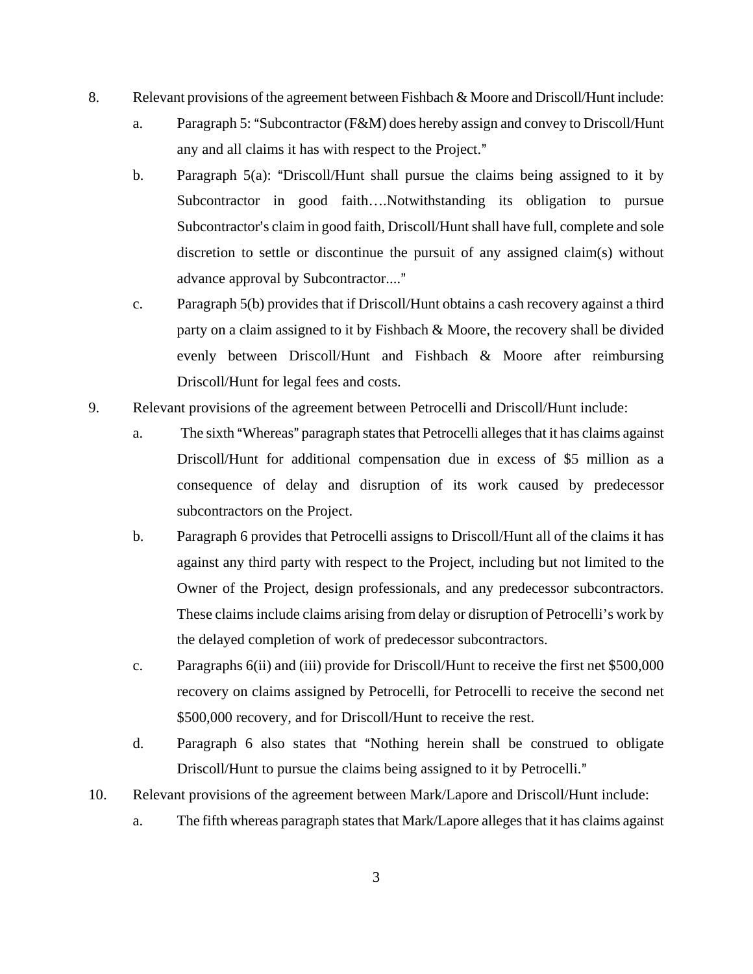- 8. Relevant provisions of the agreement between Fishbach & Moore and Driscoll/Hunt include:
	- a. Paragraph 5: "Subcontractor (F&M) does hereby assign and convey to Driscoll/Hunt any and all claims it has with respect to the Project."
	- b. Paragraph  $5(a)$ : "Driscoll/Hunt shall pursue the claims being assigned to it by Subcontractor in good faith….Notwithstanding its obligation to pursue Subcontractor's claim in good faith, Driscoll/Hunt shall have full, complete and sole discretion to settle or discontinue the pursuit of any assigned claim(s) without advance approval by Subcontractor...."
	- c. Paragraph 5(b) provides that if Driscoll/Hunt obtains a cash recovery against a third party on a claim assigned to it by Fishbach & Moore, the recovery shall be divided evenly between Driscoll/Hunt and Fishbach & Moore after reimbursing Driscoll/Hunt for legal fees and costs.
- 9. Relevant provisions of the agreement between Petrocelli and Driscoll/Hunt include:
	- a. The sixth "Whereas" paragraph states that Petrocelli alleges that it has claims against Driscoll/Hunt for additional compensation due in excess of \$5 million as a consequence of delay and disruption of its work caused by predecessor subcontractors on the Project.
	- b. Paragraph 6 provides that Petrocelli assigns to Driscoll/Hunt all of the claims it has against any third party with respect to the Project, including but not limited to the Owner of the Project, design professionals, and any predecessor subcontractors. These claims include claims arising from delay or disruption of Petrocelli's work by the delayed completion of work of predecessor subcontractors.
	- c. Paragraphs 6(ii) and (iii) provide for Driscoll/Hunt to receive the first net \$500,000 recovery on claims assigned by Petrocelli, for Petrocelli to receive the second net \$500,000 recovery, and for Driscoll/Hunt to receive the rest.
	- d. Paragraph 6 also states that "Nothing herein shall be construed to obligate Driscoll/Hunt to pursue the claims being assigned to it by Petrocelli."
- 10. Relevant provisions of the agreement between Mark/Lapore and Driscoll/Hunt include:
	- a. The fifth whereas paragraph states that Mark/Lapore alleges that it has claims against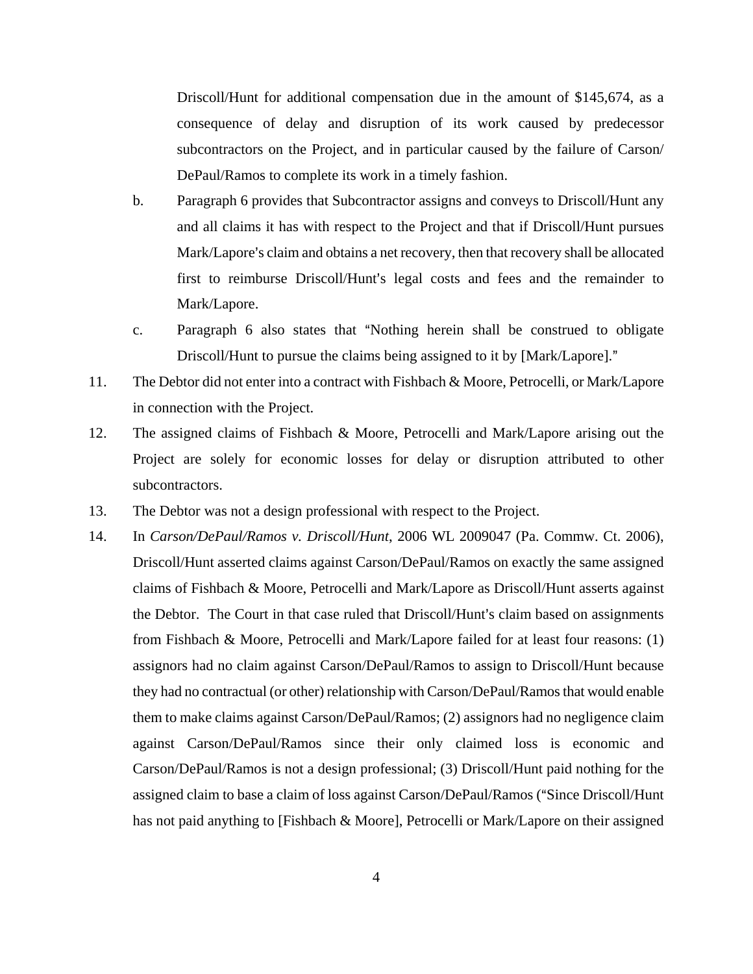Driscoll/Hunt for additional compensation due in the amount of \$145,674, as a consequence of delay and disruption of its work caused by predecessor subcontractors on the Project, and in particular caused by the failure of Carson/ DePaul/Ramos to complete its work in a timely fashion.

- b. Paragraph 6 provides that Subcontractor assigns and conveys to Driscoll/Hunt any and all claims it has with respect to the Project and that if Driscoll/Hunt pursues Mark/Lapore's claim and obtains a net recovery, then that recovery shall be allocated first to reimburse Driscoll/Hunt's legal costs and fees and the remainder to Mark/Lapore.
- c. Paragraph 6 also states that "Nothing herein shall be construed to obligate Driscoll/Hunt to pursue the claims being assigned to it by [Mark/Lapore]."
- 11. The Debtor did not enter into a contract with Fishbach & Moore, Petrocelli, or Mark/Lapore in connection with the Project.
- 12. The assigned claims of Fishbach & Moore, Petrocelli and Mark/Lapore arising out the Project are solely for economic losses for delay or disruption attributed to other subcontractors.
- 13. The Debtor was not a design professional with respect to the Project.
- 14. In *Carson/DePaul/Ramos v. Driscoll/Hunt*, 2006 WL 2009047 (Pa. Commw. Ct. 2006), Driscoll/Hunt asserted claims against Carson/DePaul/Ramos on exactly the same assigned claims of Fishbach & Moore, Petrocelli and Mark/Lapore as Driscoll/Hunt asserts against the Debtor. The Court in that case ruled that Driscoll/Hunt's claim based on assignments from Fishbach & Moore, Petrocelli and Mark/Lapore failed for at least four reasons: (1) assignors had no claim against Carson/DePaul/Ramos to assign to Driscoll/Hunt because they had no contractual (or other) relationship with Carson/DePaul/Ramos that would enable them to make claims against Carson/DePaul/Ramos; (2) assignors had no negligence claim against Carson/DePaul/Ramos since their only claimed loss is economic and Carson/DePaul/Ramos is not a design professional; (3) Driscoll/Hunt paid nothing for the assigned claim to base a claim of loss against Carson/DePaul/Ramos ("Since Driscoll/Hunt has not paid anything to [Fishbach & Moore], Petrocelli or Mark/Lapore on their assigned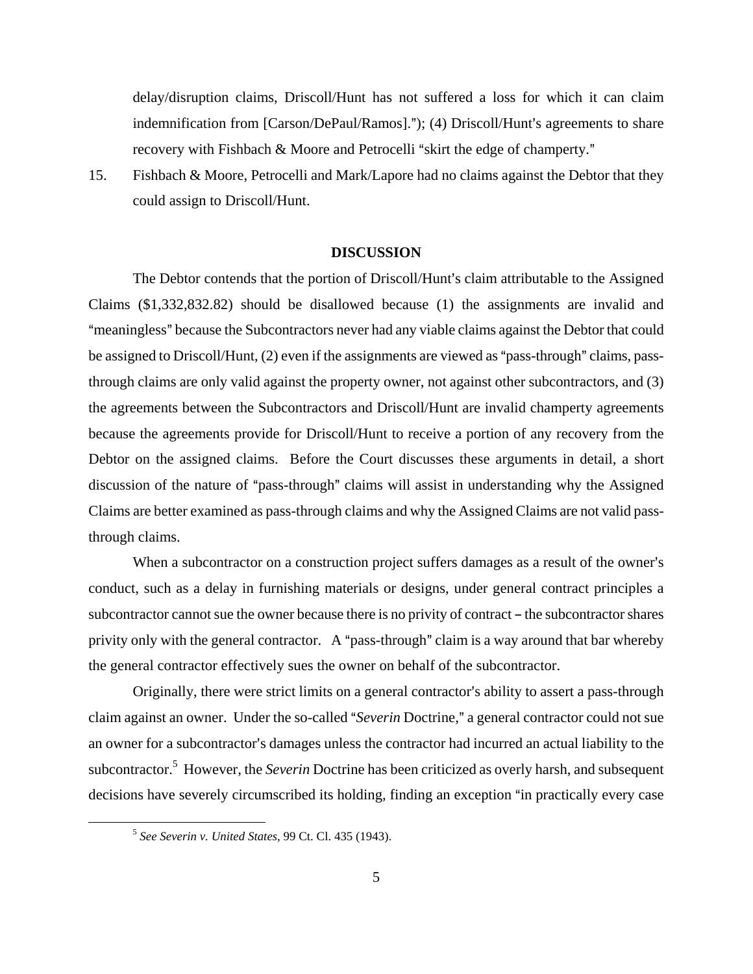delay/disruption claims, Driscoll/Hunt has not suffered a loss for which it can claim indemnification from  $[Carson/DePaul/Ramos]$ ."); (4) Driscoll/Hunt's agreements to share recovery with Fishbach & Moore and Petrocelli "skirt the edge of champerty."

15. Fishbach & Moore, Petrocelli and Mark/Lapore had no claims against the Debtor that they could assign to Driscoll/Hunt.

#### **DISCUSSION**

The Debtor contends that the portion of Driscoll/Hunt's claim attributable to the Assigned Claims (\$1,332,832.82) should be disallowed because (1) the assignments are invalid and "meaningless" because the Subcontractors never had any viable claims against the Debtor that could be assigned to Driscoll/Hunt, (2) even if the assignments are viewed as "pass-through" claims, passthrough claims are only valid against the property owner, not against other subcontractors, and (3) the agreements between the Subcontractors and Driscoll/Hunt are invalid champerty agreements because the agreements provide for Driscoll/Hunt to receive a portion of any recovery from the Debtor on the assigned claims. Before the Court discusses these arguments in detail, a short discussion of the nature of "pass-through" claims will assist in understanding why the Assigned Claims are better examined as pass-through claims and why the Assigned Claims are not valid passthrough claims.

When a subcontractor on a construction project suffers damages as a result of the owner's conduct, such as a delay in furnishing materials or designs, under general contract principles a subcontractor cannot sue the owner because there is no privity of contract – the subcontractor shares privity only with the general contractor. A "pass-through" claim is a way around that bar whereby the general contractor effectively sues the owner on behalf of the subcontractor.

Originally, there were strict limits on a general contractor's ability to assert a pass-through claim against an owner. Under the so-called "*Severin* Doctrine," a general contractor could not sue an owner for a subcontractor's damages unless the contractor had incurred an actual liability to the subcontractor.<sup>5</sup> However, the *Severin* Doctrine has been criticized as overly harsh, and subsequent decisions have severely circumscribed its holding, finding an exception "in practically every case

 <sup>5</sup> *See Severin v. United States*, 99 Ct. Cl. 435 (1943).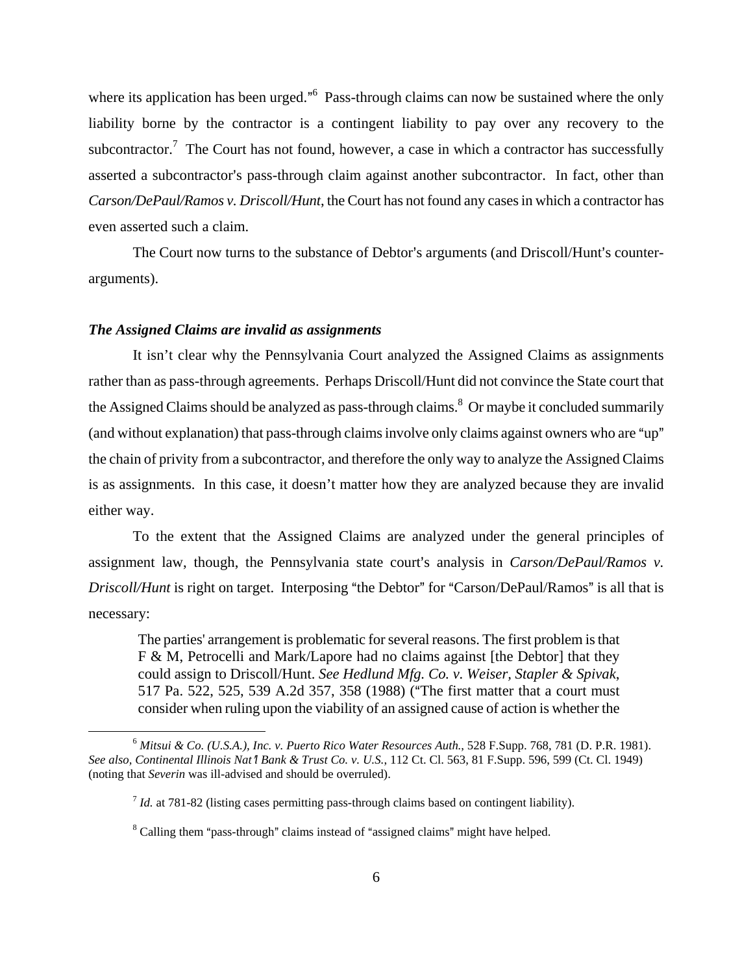where its application has been urged."<sup>6</sup> Pass-through claims can now be sustained where the only liability borne by the contractor is a contingent liability to pay over any recovery to the subcontractor.<sup>7</sup> The Court has not found, however, a case in which a contractor has successfully asserted a subcontractor's pass-through claim against another subcontractor. In fact, other than *Carson/DePaul/Ramos v. Driscoll/Hunt*, the Court has not found any cases in which a contractor has even asserted such a claim.

The Court now turns to the substance of Debtor's arguments (and Driscoll/Hunt's counterarguments).

## *The Assigned Claims are invalid as assignments*

It isn't clear why the Pennsylvania Court analyzed the Assigned Claims as assignments rather than as pass-through agreements. Perhaps Driscoll/Hunt did not convince the State court that the Assigned Claims should be analyzed as pass-through claims.<sup>8</sup> Or maybe it concluded summarily (and without explanation) that pass-through claims involve only claims against owners who are "up" the chain of privity from a subcontractor, and therefore the only way to analyze the Assigned Claims is as assignments. In this case, it doesn't matter how they are analyzed because they are invalid either way.

To the extent that the Assigned Claims are analyzed under the general principles of assignment law, though, the Pennsylvania state court's analysis in *Carson/DePaul/Ramos v. Driscoll/Hunt* is right on target. Interposing "the Debtor" for "Carson/DePaul/Ramos" is all that is necessary:

The parties' arrangement is problematic for several reasons. The first problem is that F & M, Petrocelli and Mark/Lapore had no claims against [the Debtor] that they could assign to Driscoll/Hunt. *See Hedlund Mfg. Co. v. Weiser, Stapler & Spivak*, 517 Pa. 522, 525, 539 A.2d 357, 358 (1988) ("The first matter that a court must consider when ruling upon the viability of an assigned cause of action is whether the

 <sup>6</sup> *Mitsui & Co. (U.S.A.), Inc. v. Puerto Rico Water Resources Auth.*, 528 F.Supp. 768, 781 (D. P.R. 1981). See also, Continental Illinois Nat<sup>†</sup>l Bank & Trust Co. v. U.S., 112 Ct. Cl. 563, 81 F.Supp. 596, 599 (Ct. Cl. 1949) (noting that *Severin* was ill-advised and should be overruled).

 $<sup>7</sup>$  *Id.* at 781-82 (listing cases permitting pass-through claims based on contingent liability).</sup>

 $8$  Calling them "pass-through" claims instead of "assigned claims" might have helped.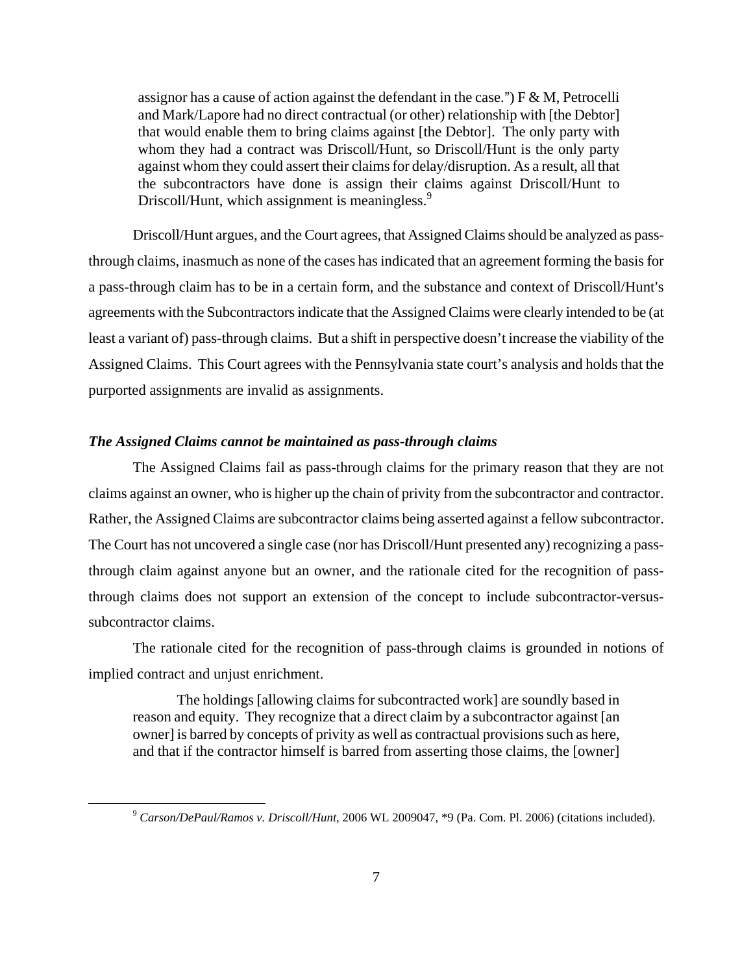assignor has a cause of action against the defendant in the case.")  $F \& M$ , Petrocelli and Mark/Lapore had no direct contractual (or other) relationship with [the Debtor] that would enable them to bring claims against [the Debtor]. The only party with whom they had a contract was Driscoll/Hunt, so Driscoll/Hunt is the only party against whom they could assert their claims for delay/disruption. As a result, all that the subcontractors have done is assign their claims against Driscoll/Hunt to Driscoll/Hunt, which assignment is meaningless.<sup>9</sup>

Driscoll/Hunt argues, and the Court agrees, that Assigned Claims should be analyzed as passthrough claims, inasmuch as none of the cases has indicated that an agreement forming the basis for a pass-through claim has to be in a certain form, and the substance and context of Driscoll/Hunt's agreements with the Subcontractors indicate that the Assigned Claims were clearly intended to be (at least a variant of) pass-through claims. But a shift in perspective doesn't increase the viability of the Assigned Claims. This Court agrees with the Pennsylvania state court's analysis and holds that the purported assignments are invalid as assignments.

# *The Assigned Claims cannot be maintained as pass-through claims*

The Assigned Claims fail as pass-through claims for the primary reason that they are not claims against an owner, who is higher up the chain of privity from the subcontractor and contractor. Rather, the Assigned Claims are subcontractor claims being asserted against a fellow subcontractor. The Court has not uncovered a single case (nor has Driscoll/Hunt presented any) recognizing a passthrough claim against anyone but an owner, and the rationale cited for the recognition of passthrough claims does not support an extension of the concept to include subcontractor-versussubcontractor claims.

The rationale cited for the recognition of pass-through claims is grounded in notions of implied contract and unjust enrichment.

The holdings [allowing claims for subcontracted work] are soundly based in reason and equity. They recognize that a direct claim by a subcontractor against [an owner] is barred by concepts of privity as well as contractual provisions such as here, and that if the contractor himself is barred from asserting those claims, the [owner]

 <sup>9</sup> *Carson/DePaul/Ramos v. Driscoll/Hunt*, 2006 WL 2009047, \*9 (Pa. Com. Pl. 2006) (citations included).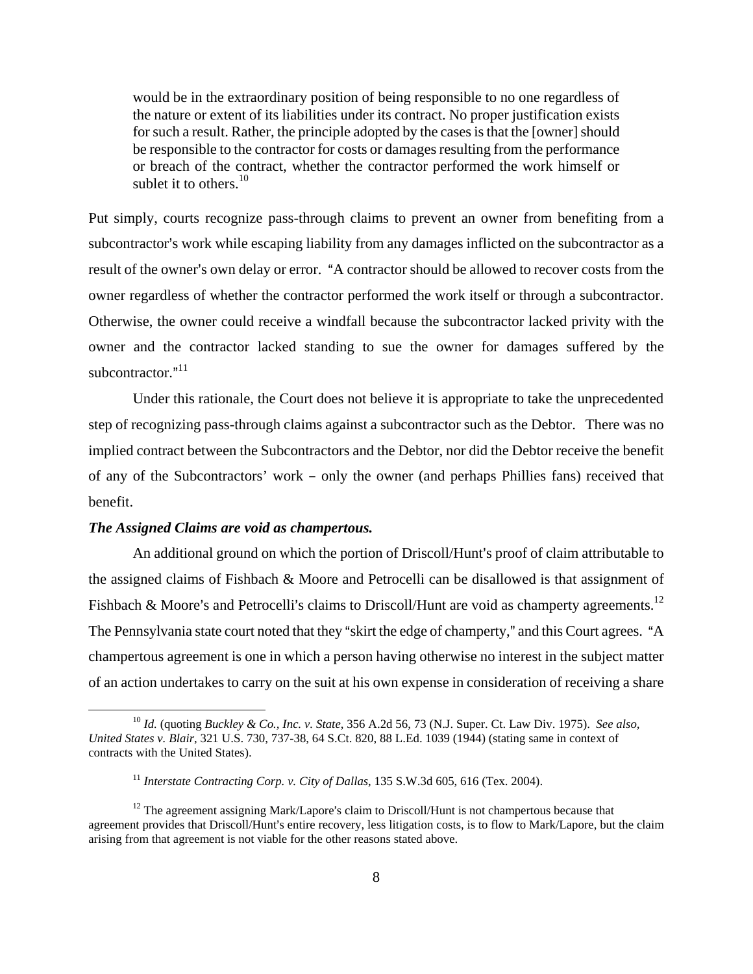would be in the extraordinary position of being responsible to no one regardless of the nature or extent of its liabilities under its contract. No proper justification exists for such a result. Rather, the principle adopted by the cases is that the [owner] should be responsible to the contractor for costs or damages resulting from the performance or breach of the contract, whether the contractor performed the work himself or sublet it to others. $10$ 

Put simply, courts recognize pass-through claims to prevent an owner from benefiting from a subcontractor's work while escaping liability from any damages inflicted on the subcontractor as a result of the owner's own delay or error. "A contractor should be allowed to recover costs from the owner regardless of whether the contractor performed the work itself or through a subcontractor. Otherwise, the owner could receive a windfall because the subcontractor lacked privity with the owner and the contractor lacked standing to sue the owner for damages suffered by the subcontractor."<sup>11</sup>

Under this rationale, the Court does not believe it is appropriate to take the unprecedented step of recognizing pass-through claims against a subcontractor such as the Debtor. There was no implied contract between the Subcontractors and the Debtor, nor did the Debtor receive the benefit of any of the Subcontractors' work – only the owner (and perhaps Phillies fans) received that benefit.

## *The Assigned Claims are void as champertous.*

An additional ground on which the portion of Driscoll/Hunt's proof of claim attributable to the assigned claims of Fishbach & Moore and Petrocelli can be disallowed is that assignment of Fishbach & Moore's and Petrocelli's claims to Driscoll/Hunt are void as champerty agreements.<sup>12</sup> The Pennsylvania state court noted that they "skirt the edge of champerty," and this Court agrees. "A champertous agreement is one in which a person having otherwise no interest in the subject matter of an action undertakes to carry on the suit at his own expense in consideration of receiving a share

 <sup>10</sup> *Id.* (quoting *Buckley & Co., Inc. v. State*, 356 A.2d 56, 73 (N.J. Super. Ct. Law Div. 1975). *See also, United States v. Blair*, 321 U.S. 730, 737-38, 64 S.Ct. 820, 88 L.Ed. 1039 (1944) (stating same in context of contracts with the United States).

<sup>&</sup>lt;sup>11</sup> Interstate Contracting Corp. v. City of Dallas, 135 S.W.3d 605, 616 (Tex. 2004).

 $12$  The agreement assigning Mark/Lapore's claim to Driscoll/Hunt is not champertous because that agreement provides that Driscoll/Hunt's entire recovery, less litigation costs, is to flow to Mark/Lapore, but the claim arising from that agreement is not viable for the other reasons stated above.